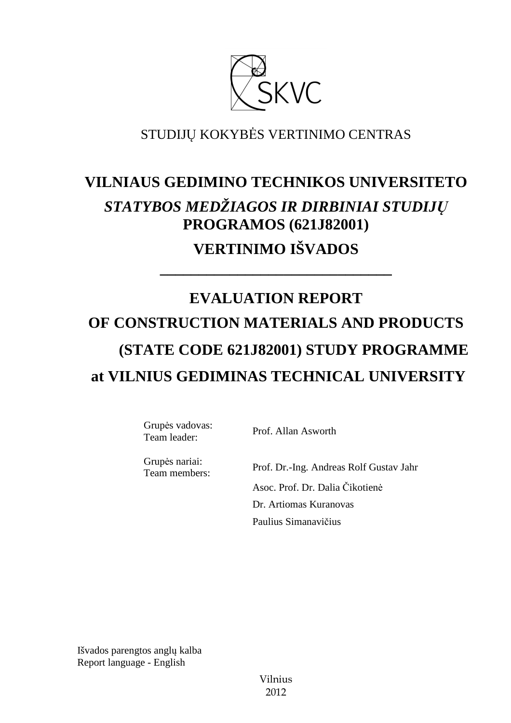

### STUDIJŲ KOKYBĖS VERTINIMO CENTRAS

## **VILNIAUS GEDIMINO TECHNIKOS UNIVERSITETO** *STATYBOS MEDŽIAGOS IR DIRBINIAI STUDIJŲ* **PROGRAMOS (621J82001) VERTINIMO IŠVADOS**

# **EVALUATION REPORT OF CONSTRUCTION MATERIALS AND PRODUCTS (STATE CODE 621J82001) STUDY PROGRAMME at VILNIUS GEDIMINAS TECHNICAL UNIVERSITY**

**––––––––––––––––––––––––––––––** 

Grupės vadovas: Team leader: Prof. Allan Asworth

Grupės nariai:

Team members: Prof. Dr.-Ing. Andreas Rolf Gustav Jahr Asoc. Prof. Dr. Dalia Čikotienė Dr. Artiomas Kuranovas Paulius Simanavičius

Išvados parengtos anglų kalba Report language - English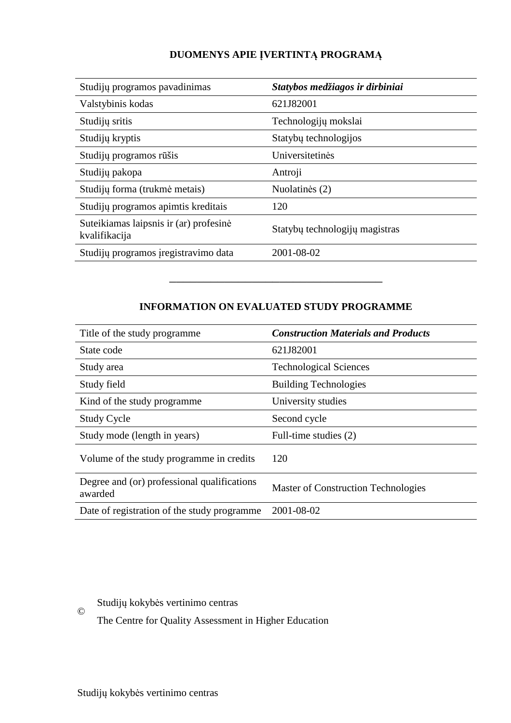#### **DUOMENYS APIE ĮVERTINTĄ PROGRAMĄ**

| Studijų programos pavadinimas                           | Statybos medžiagos ir dirbiniai |
|---------------------------------------------------------|---------------------------------|
| Valstybinis kodas                                       | 621J82001                       |
| Studijų sritis                                          | Technologijų mokslai            |
| Studijų kryptis                                         | Statybų technologijos           |
| Studijų programos rūšis                                 | Universitetinės                 |
| Studijų pakopa                                          | Antroji                         |
| Studijų forma (trukmė metais)                           | Nuolatinės (2)                  |
| Studijų programos apimtis kreditais                     | 120                             |
| Suteikiamas laipsnis ir (ar) profesinė<br>kvalifikacija | Statybų technologijų magistras  |
| Studijų programos įregistravimo data                    | 2001-08-02                      |

#### **INFORMATION ON EVALUATED STUDY PROGRAMME**

–––––––––––––––––––––––––––––––

| Title of the study programme.                          | <b>Construction Materials and Products</b> |
|--------------------------------------------------------|--------------------------------------------|
| State code                                             | 621J82001                                  |
| Study area                                             | <b>Technological Sciences</b>              |
| Study field                                            | <b>Building Technologies</b>               |
| Kind of the study programme.                           | University studies                         |
| <b>Study Cycle</b>                                     | Second cycle                               |
| Study mode (length in years)                           | Full-time studies (2)                      |
| Volume of the study programme in credits               | 120                                        |
| Degree and (or) professional qualifications<br>awarded | <b>Master of Construction Technologies</b> |
| Date of registration of the study programme            | 2001-08-02                                 |

Studijų kokybės vertinimo centras ©

The Centre for Quality Assessment in Higher Education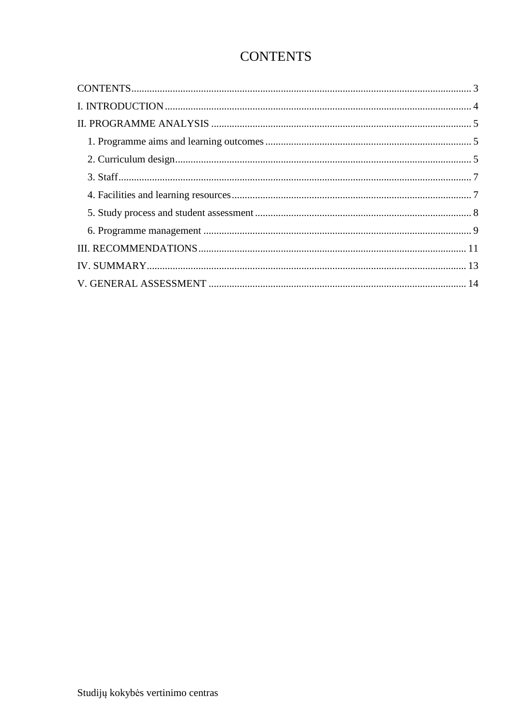## **CONTENTS**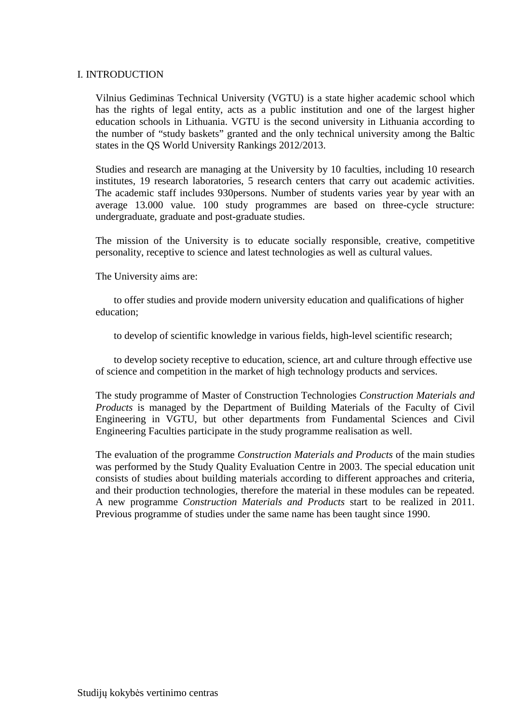#### I. INTRODUCTION

Vilnius Gediminas Technical University (VGTU) is a state higher academic school which has the rights of legal entity, acts as a public institution and one of the largest higher education schools in Lithuania. VGTU is the second university in Lithuania according to the number of "study baskets" granted and the only technical university among the Baltic states in the QS World University Rankings 2012/2013.

Studies and research are managing at the University by 10 faculties, including 10 research institutes, 19 research laboratories, 5 research centers that carry out academic activities. The academic staff includes 930persons. Number of students varies year by year with an average 13.000 value. 100 study programmes are based on three-cycle structure: undergraduate, graduate and post-graduate studies.

The mission of the University is to educate socially responsible, creative, competitive personality, receptive to science and latest technologies as well as cultural values.

The University aims are:

 to offer studies and provide modern university education and qualifications of higher education;

to develop of scientific knowledge in various fields, high-level scientific research;

 to develop society receptive to education, science, art and culture through effective use of science and competition in the market of high technology products and services.

The study programme of Master of Construction Technologies *Construction Materials and Products* is managed by the Department of Building Materials of the Faculty of Civil Engineering in VGTU, but other departments from Fundamental Sciences and Civil Engineering Faculties participate in the study programme realisation as well.

The evaluation of the programme *Construction Materials and Products* of the main studies was performed by the Study Quality Evaluation Centre in 2003. The special education unit consists of studies about building materials according to different approaches and criteria, and their production technologies, therefore the material in these modules can be repeated. A new programme *Construction Materials and Products* start to be realized in 2011. Previous programme of studies under the same name has been taught since 1990.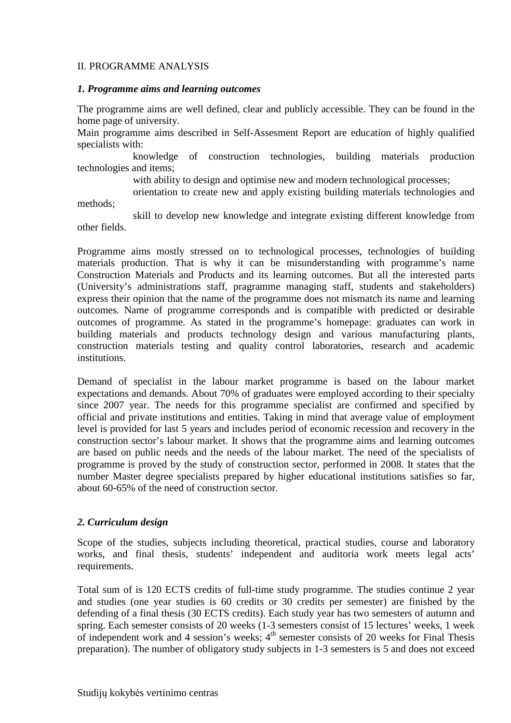#### II. PROGRAMME ANALYSIS

#### *1. Programme aims and learning outcomes*

The programme aims are well defined, clear and publicly accessible. They can be found in the home page of university.

Main programme aims described in Self-Assesment Report are education of highly qualified specialists with:

 knowledge of construction technologies, building materials production technologies and items;

with ability to design and optimise new and modern technological processes;

 orientation to create new and apply existing building materials technologies and methods;

 skill to develop new knowledge and integrate existing different knowledge from other fields.

Programme aims mostly stressed on to technological processes, technologies of building materials production. That is why it can be misunderstanding with programme's name Construction Materials and Products and its learning outcomes. But all the interested parts (University's administrations staff, pragramme managing staff, students and stakeholders) express their opinion that the name of the programme does not mismatch its name and learning outcomes. Name of programme corresponds and is compatible with predicted or desirable outcomes of programme. As stated in the programme's homepage: graduates can work in building materials and products technology design and various manufacturing plants, construction materials testing and quality control laboratories, research and academic institutions.

Demand of specialist in the labour market programme is based on the labour market expectations and demands. About 70% of graduates were employed according to their specialty since 2007 year. The needs for this programme specialist are confirmed and specified by official and private institutions and entities. Taking in mind that average value of employment level is provided for last 5 years and includes period of economic recession and recovery in the construction sector's labour market. It shows that the programme aims and learning outcomes are based on public needs and the needs of the labour market. The need of the specialists of programme is proved by the study of construction sector, performed in 2008. It states that the number Master degree specialists prepared by higher educational institutions satisfies so far, about 60-65% of the need of construction sector.

#### *2. Curriculum design*

Scope of the studies, subjects including theoretical, practical studies, course and laboratory works, and final thesis, students' independent and auditoria work meets legal acts' requirements.

Total sum of is 120 ECTS credits of full-time study programme. The studies continue 2 year and studies (one year studies is 60 credits or 30 credits per semester) are finished by the defending of a final thesis (30 ECTS credits). Each study year has two semesters of autumn and spring. Each semester consists of 20 weeks (1-3 semesters consist of 15 lectures' weeks, 1 week of independent work and 4 session's weeks;  $4<sup>th</sup>$  semester consists of 20 weeks for Final Thesis preparation). The number of obligatory study subjects in 1-3 semesters is 5 and does not exceed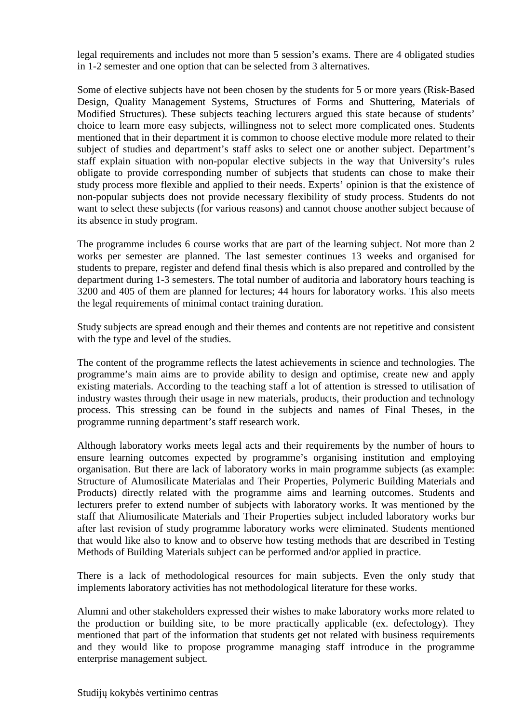legal requirements and includes not more than 5 session's exams. There are 4 obligated studies in 1-2 semester and one option that can be selected from 3 alternatives.

Some of elective subjects have not been chosen by the students for 5 or more years (Risk-Based Design, Quality Management Systems, Structures of Forms and Shuttering, Materials of Modified Structures). These subjects teaching lecturers argued this state because of students' choice to learn more easy subjects, willingness not to select more complicated ones. Students mentioned that in their department it is common to choose elective module more related to their subject of studies and department's staff asks to select one or another subject. Department's staff explain situation with non-popular elective subjects in the way that University's rules obligate to provide corresponding number of subjects that students can chose to make their study process more flexible and applied to their needs. Experts' opinion is that the existence of non-popular subjects does not provide necessary flexibility of study process. Students do not want to select these subjects (for various reasons) and cannot choose another subject because of its absence in study program.

The programme includes 6 course works that are part of the learning subject. Not more than 2 works per semester are planned. The last semester continues 13 weeks and organised for students to prepare, register and defend final thesis which is also prepared and controlled by the department during 1-3 semesters. The total number of auditoria and laboratory hours teaching is 3200 and 405 of them are planned for lectures; 44 hours for laboratory works. This also meets the legal requirements of minimal contact training duration.

Study subjects are spread enough and their themes and contents are not repetitive and consistent with the type and level of the studies.

The content of the programme reflects the latest achievements in science and technologies. The programme's main aims are to provide ability to design and optimise, create new and apply existing materials. According to the teaching staff a lot of attention is stressed to utilisation of industry wastes through their usage in new materials, products, their production and technology process. This stressing can be found in the subjects and names of Final Theses, in the programme running department's staff research work.

Although laboratory works meets legal acts and their requirements by the number of hours to ensure learning outcomes expected by programme's organising institution and employing organisation. But there are lack of laboratory works in main programme subjects (as example: Structure of Alumosilicate Materialas and Their Properties, Polymeric Building Materials and Products) directly related with the programme aims and learning outcomes. Students and lecturers prefer to extend number of subjects with laboratory works. It was mentioned by the staff that Aliumosilicate Materials and Their Properties subject included laboratory works bur after last revision of study programme laboratory works were eliminated. Students mentioned that would like also to know and to observe how testing methods that are described in Testing Methods of Building Materials subject can be performed and/or applied in practice.

There is a lack of methodological resources for main subjects. Even the only study that implements laboratory activities has not methodological literature for these works.

Alumni and other stakeholders expressed their wishes to make laboratory works more related to the production or building site, to be more practically applicable (ex. defectology). They mentioned that part of the information that students get not related with business requirements and they would like to propose programme managing staff introduce in the programme enterprise management subject.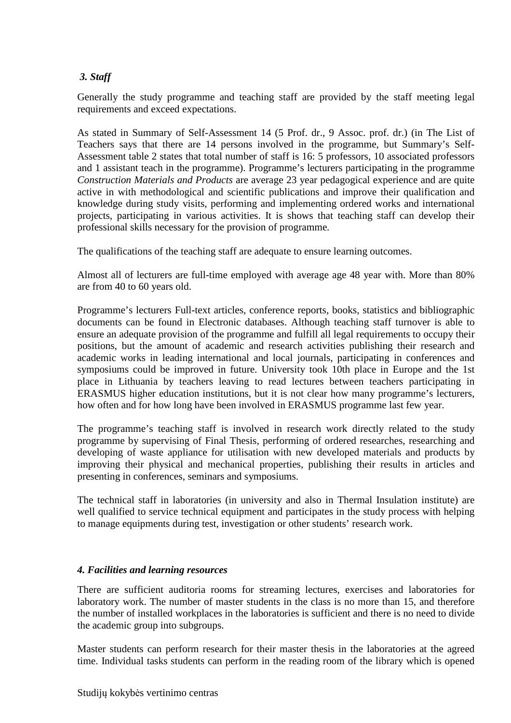#### *3. Staff*

Generally the study programme and teaching staff are provided by the staff meeting legal requirements and exceed expectations.

As stated in Summary of Self-Assessment 14 (5 Prof. dr., 9 Assoc. prof. dr.) (in The List of Teachers says that there are 14 persons involved in the programme, but Summary's Self-Assessment table 2 states that total number of staff is 16: 5 professors, 10 associated professors and 1 assistant teach in the programme). Programme's lecturers participating in the programme *Construction Materials and Products* are average 23 year pedagogical experience and are quite active in with methodological and scientific publications and improve their qualification and knowledge during study visits, performing and implementing ordered works and international projects, participating in various activities. It is shows that teaching staff can develop their professional skills necessary for the provision of programme*.* 

The qualifications of the teaching staff are adequate to ensure learning outcomes.

Almost all of lecturers are full-time employed with average age 48 year with. More than 80% are from 40 to 60 years old.

Programme's lecturers Full-text articles, conference reports, books, statistics and bibliographic documents can be found in Electronic databases. Although teaching staff turnover is able to ensure an adequate provision of the programme and fulfill all legal requirements to occupy their positions, but the amount of academic and research activities publishing their research and academic works in leading international and local journals, participating in conferences and symposiums could be improved in future. University took 10th place in Europe and the 1st place in Lithuania by teachers leaving to read lectures between teachers participating in ERASMUS higher education institutions, but it is not clear how many programme's lecturers, how often and for how long have been involved in ERASMUS programme last few year.

The programme's teaching staff is involved in research work directly related to the study programme by supervising of Final Thesis, performing of ordered researches, researching and developing of waste appliance for utilisation with new developed materials and products by improving their physical and mechanical properties, publishing their results in articles and presenting in conferences, seminars and symposiums.

The technical staff in laboratories (in university and also in Thermal Insulation institute) are well qualified to service technical equipment and participates in the study process with helping to manage equipments during test, investigation or other students' research work.

#### *4. Facilities and learning resources*

There are sufficient auditoria rooms for streaming lectures, exercises and laboratories for laboratory work. The number of master students in the class is no more than 15, and therefore the number of installed workplaces in the laboratories is sufficient and there is no need to divide the academic group into subgroups.

Master students can perform research for their master thesis in the laboratories at the agreed time. Individual tasks students can perform in the reading room of the library which is opened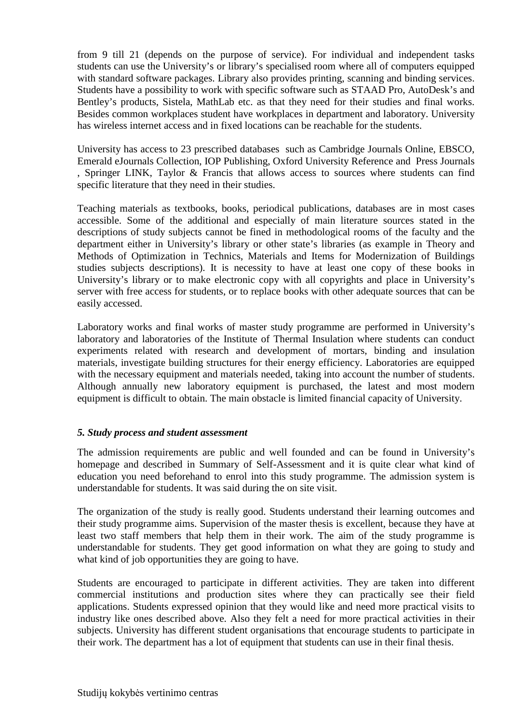from 9 till 21 (depends on the purpose of service). For individual and independent tasks students can use the University's or library's specialised room where all of computers equipped with standard software packages. Library also provides printing, scanning and binding services. Students have a possibility to work with specific software such as STAAD Pro, AutoDesk's and Bentley's products, Sistela, MathLab etc. as that they need for their studies and final works. Besides common workplaces student have workplaces in department and laboratory. University has wireless internet access and in fixed locations can be reachable for the students.

University has access to 23 prescribed databases such as Cambridge Journals Online, EBSCO, Emerald eJournals Collection, IOP Publishing, Oxford University Reference and Press Journals , Springer LINK, Taylor & Francis that allows access to sources where students can find specific literature that they need in their studies.

Teaching materials as textbooks, books, periodical publications, databases are in most cases accessible. Some of the additional and especially of main literature sources stated in the descriptions of study subjects cannot be fined in methodological rooms of the faculty and the department either in University's library or other state's libraries (as example in Theory and Methods of Optimization in Technics, Materials and Items for Modernization of Buildings studies subjects descriptions). It is necessity to have at least one copy of these books in University's library or to make electronic copy with all copyrights and place in University's server with free access for students, or to replace books with other adequate sources that can be easily accessed.

Laboratory works and final works of master study programme are performed in University's laboratory and laboratories of the Institute of Thermal Insulation where students can conduct experiments related with research and development of mortars, binding and insulation materials, investigate building structures for their energy efficiency. Laboratories are equipped with the necessary equipment and materials needed, taking into account the number of students. Although annually new laboratory equipment is purchased, the latest and most modern equipment is difficult to obtain. The main obstacle is limited financial capacity of University.

#### *5. Study process and student assessment*

The admission requirements are public and well founded and can be found in University's homepage and described in Summary of Self-Assessment and it is quite clear what kind of education you need beforehand to enrol into this study programme. The admission system is understandable for students. It was said during the on site visit.

The organization of the study is really good. Students understand their learning outcomes and their study programme aims. Supervision of the master thesis is excellent, because they have at least two staff members that help them in their work. The aim of the study programme is understandable for students. They get good information on what they are going to study and what kind of job opportunities they are going to have.

Students are encouraged to participate in different activities. They are taken into different commercial institutions and production sites where they can practically see their field applications. Students expressed opinion that they would like and need more practical visits to industry like ones described above. Also they felt a need for more practical activities in their subjects. University has different student organisations that encourage students to participate in their work. The department has a lot of equipment that students can use in their final thesis.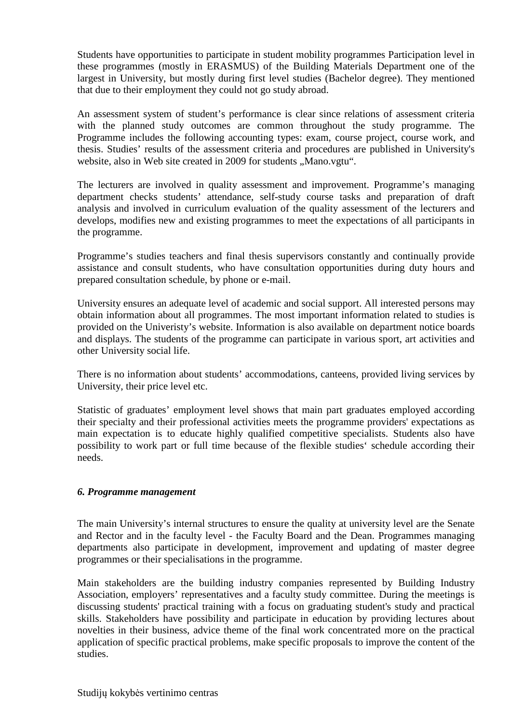Students have opportunities to participate in student mobility programmes Participation level in these programmes (mostly in ERASMUS) of the Building Materials Department one of the largest in University, but mostly during first level studies (Bachelor degree). They mentioned that due to their employment they could not go study abroad.

An assessment system of student's performance is clear since relations of assessment criteria with the planned study outcomes are common throughout the study programme. The Programme includes the following accounting types: exam, course project, course work, and thesis. Studies' results of the assessment criteria and procedures are published in University's website, also in Web site created in 2009 for students , Mano.vgtu".

The lecturers are involved in quality assessment and improvement. Programme's managing department checks students' attendance, self-study course tasks and preparation of draft analysis and involved in curriculum evaluation of the quality assessment of the lecturers and develops, modifies new and existing programmes to meet the expectations of all participants in the programme.

Programme's studies teachers and final thesis supervisors constantly and continually provide assistance and consult students, who have consultation opportunities during duty hours and prepared consultation schedule, by phone or e-mail.

University ensures an adequate level of academic and social support. All interested persons may obtain information about all programmes. The most important information related to studies is provided on the Univeristy's website. Information is also available on department notice boards and displays. The students of the programme can participate in various sport, art activities and other University social life.

There is no information about students' accommodations, canteens, provided living services by University, their price level etc.

Statistic of graduates' employment level shows that main part graduates employed according their specialty and their professional activities meets the programme providers' expectations as main expectation is to educate highly qualified competitive specialists. Students also have possibility to work part or full time because of the flexible studies' schedule according their needs.

#### *6. Programme management*

The main University's internal structures to ensure the quality at university level are the Senate and Rector and in the faculty level - the Faculty Board and the Dean. Programmes managing departments also participate in development, improvement and updating of master degree programmes or their specialisations in the programme.

Main stakeholders are the building industry companies represented by Building Industry Association, employers' representatives and a faculty study committee. During the meetings is discussing students' practical training with a focus on graduating student's study and practical skills. Stakeholders have possibility and participate in education by providing lectures about novelties in their business, advice theme of the final work concentrated more on the practical application of specific practical problems, make specific proposals to improve the content of the studies.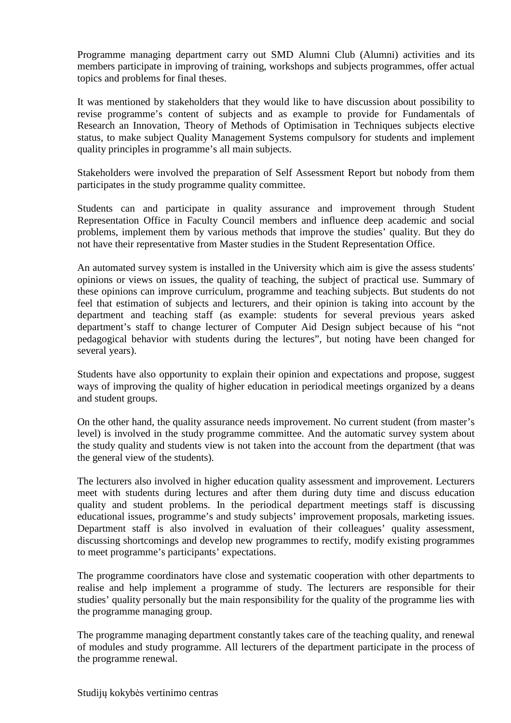Programme managing department carry out SMD Alumni Club (Alumni) activities and its members participate in improving of training, workshops and subjects programmes, offer actual topics and problems for final theses.

It was mentioned by stakeholders that they would like to have discussion about possibility to revise programme's content of subjects and as example to provide for Fundamentals of Research an Innovation, Theory of Methods of Optimisation in Techniques subjects elective status, to make subject Quality Management Systems compulsory for students and implement quality principles in programme's all main subjects.

Stakeholders were involved the preparation of Self Assessment Report but nobody from them participates in the study programme quality committee.

Students can and participate in quality assurance and improvement through Student Representation Office in Faculty Council members and influence deep academic and social problems, implement them by various methods that improve the studies' quality. But they do not have their representative from Master studies in the Student Representation Office.

An automated survey system is installed in the University which aim is give the assess students' opinions or views on issues, the quality of teaching, the subject of practical use. Summary of these opinions can improve curriculum, programme and teaching subjects. But students do not feel that estimation of subjects and lecturers, and their opinion is taking into account by the department and teaching staff (as example: students for several previous years asked department's staff to change lecturer of Computer Aid Design subject because of his "not pedagogical behavior with students during the lectures", but noting have been changed for several years).

Students have also opportunity to explain their opinion and expectations and propose, suggest ways of improving the quality of higher education in periodical meetings organized by a deans and student groups.

On the other hand, the quality assurance needs improvement. No current student (from master's level) is involved in the study programme committee. And the automatic survey system about the study quality and students view is not taken into the account from the department (that was the general view of the students).

The lecturers also involved in higher education quality assessment and improvement. Lecturers meet with students during lectures and after them during duty time and discuss education quality and student problems. In the periodical department meetings staff is discussing educational issues, programme's and study subjects' improvement proposals, marketing issues. Department staff is also involved in evaluation of their colleagues' quality assessment, discussing shortcomings and develop new programmes to rectify, modify existing programmes to meet programme's participants' expectations.

The programme coordinators have close and systematic cooperation with other departments to realise and help implement a programme of study. The lecturers are responsible for their studies' quality personally but the main responsibility for the quality of the programme lies with the programme managing group.

The programme managing department constantly takes care of the teaching quality, and renewal of modules and study programme. All lecturers of the department participate in the process of the programme renewal.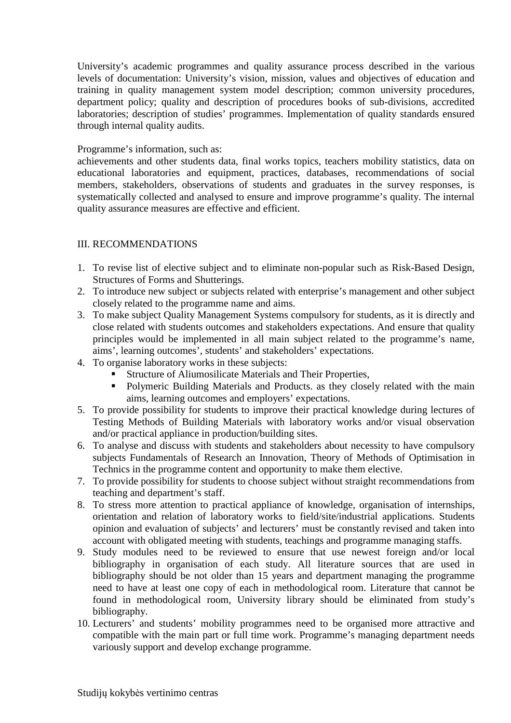University's academic programmes and quality assurance process described in the various levels of documentation: University's vision, mission, values and objectives of education and training in quality management system model description; common university procedures, department policy; quality and description of procedures books of sub-divisions, accredited laboratories; description of studies' programmes. Implementation of quality standards ensured through internal quality audits.

#### Programme's information, such as:

achievements and other students data, final works topics, teachers mobility statistics, data on educational laboratories and equipment, practices, databases, recommendations of social members, stakeholders, observations of students and graduates in the survey responses, is systematically collected and analysed to ensure and improve programme's quality. The internal quality assurance measures are effective and efficient.

#### III. RECOMMENDATIONS

- 1. To revise list of elective subject and to eliminate non-popular such as Risk-Based Design, Structures of Forms and Shutterings.
- 2. To introduce new subject or subjects related with enterprise's management and other subject closely related to the programme name and aims.
- 3. To make subject Quality Management Systems compulsory for students, as it is directly and close related with students outcomes and stakeholders expectations. And ensure that quality principles would be implemented in all main subject related to the programme's name, aims', learning outcomes', students' and stakeholders' expectations.
- 4. To organise laboratory works in these subjects:
	- Structure of Aliumosilicate Materials and Their Properties,
	- **•** Polymeric Building Materials and Products. as they closely related with the main aims, learning outcomes and employers' expectations.
- 5. To provide possibility for students to improve their practical knowledge during lectures of Testing Methods of Building Materials with laboratory works and/or visual observation and/or practical appliance in production/building sites.
- 6. To analyse and discuss with students and stakeholders about necessity to have compulsory subjects Fundamentals of Research an Innovation, Theory of Methods of Optimisation in Technics in the programme content and opportunity to make them elective.
- 7. To provide possibility for students to choose subject without straight recommendations from teaching and department's staff.
- 8. To stress more attention to practical appliance of knowledge, organisation of internships, orientation and relation of laboratory works to field/site/industrial applications. Students opinion and evaluation of subjects' and lecturers' must be constantly revised and taken into account with obligated meeting with students, teachings and programme managing staffs.
- 9. Study modules need to be reviewed to ensure that use newest foreign and/or local bibliography in organisation of each study. All literature sources that are used in bibliography should be not older than 15 years and department managing the programme need to have at least one copy of each in methodological room. Literature that cannot be found in methodological room, University library should be eliminated from study's bibliography.
- 10. Lecturers' and students' mobility programmes need to be organised more attractive and compatible with the main part or full time work. Programme's managing department needs variously support and develop exchange programme.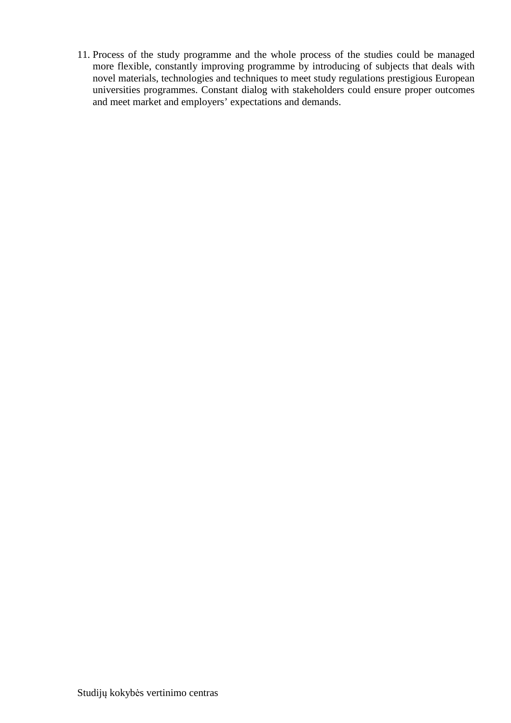11. Process of the study programme and the whole process of the studies could be managed more flexible, constantly improving programme by introducing of subjects that deals with novel materials, technologies and techniques to meet study regulations prestigious European universities programmes. Constant dialog with stakeholders could ensure proper outcomes and meet market and employers' expectations and demands.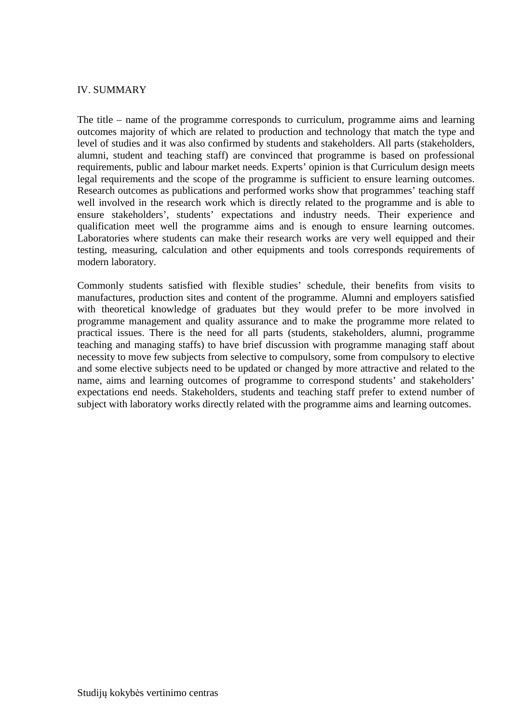#### IV. SUMMARY

The title – name of the programme corresponds to curriculum, programme aims and learning outcomes majority of which are related to production and technology that match the type and level of studies and it was also confirmed by students and stakeholders. All parts (stakeholders, alumni, student and teaching staff) are convinced that programme is based on professional requirements, public and labour market needs. Experts' opinion is that Curriculum design meets legal requirements and the scope of the programme is sufficient to ensure learning outcomes. Research outcomes as publications and performed works show that programmes' teaching staff well involved in the research work which is directly related to the programme and is able to ensure stakeholders', students' expectations and industry needs. Their experience and qualification meet well the programme aims and is enough to ensure learning outcomes. Laboratories where students can make their research works are very well equipped and their testing, measuring, calculation and other equipments and tools corresponds requirements of modern laboratory.

Commonly students satisfied with flexible studies' schedule, their benefits from visits to manufactures, production sites and content of the programme. Alumni and employers satisfied with theoretical knowledge of graduates but they would prefer to be more involved in programme management and quality assurance and to make the programme more related to practical issues. There is the need for all parts (students, stakeholders, alumni, programme teaching and managing staffs) to have brief discussion with programme managing staff about necessity to move few subjects from selective to compulsory, some from compulsory to elective and some elective subjects need to be updated or changed by more attractive and related to the name, aims and learning outcomes of programme to correspond students' and stakeholders' expectations end needs. Stakeholders, students and teaching staff prefer to extend number of subject with laboratory works directly related with the programme aims and learning outcomes.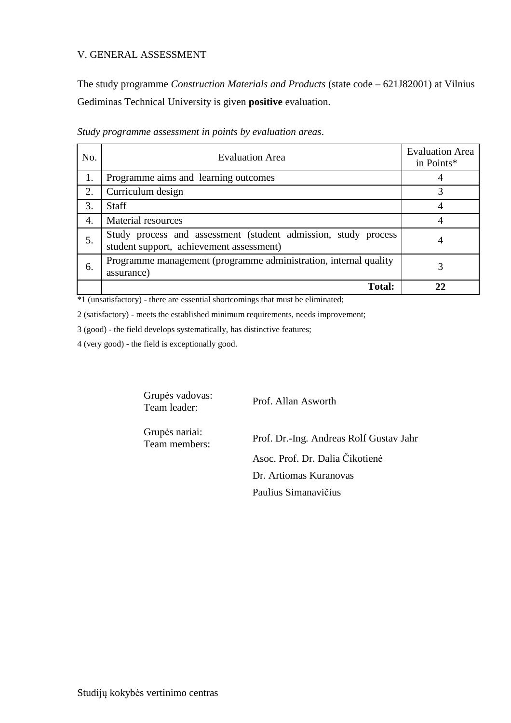#### V. GENERAL ASSESSMENT

The study programme *Construction Materials and Products* (state code – 621J82001) at Vilnius Gediminas Technical University is given **positive** evaluation.

| No.              | <b>Evaluation Area</b>                                                                                     | <b>Evaluation Area</b><br>in Points* |
|------------------|------------------------------------------------------------------------------------------------------------|--------------------------------------|
|                  | Programme aims and learning outcomes                                                                       |                                      |
| 2.               | Curriculum design                                                                                          |                                      |
| 3.               | <b>Staff</b>                                                                                               |                                      |
| $\overline{4}$ . | Material resources                                                                                         |                                      |
| 5.               | Study process and assessment (student admission, study process<br>student support, achievement assessment) | 4                                    |
| 6.               | Programme management (programme administration, internal quality<br>assurance)                             |                                      |
|                  | <b>Total:</b>                                                                                              |                                      |

*Study programme assessment in points by evaluation areas*.

\*1 (unsatisfactory) - there are essential shortcomings that must be eliminated;

2 (satisfactory) - meets the established minimum requirements, needs improvement;

3 (good) - the field develops systematically, has distinctive features;

4 (very good) - the field is exceptionally good.

Grupės vadovas: Team leader: Prof. Allan Asworth

Grupės nariai:

Team members: Prof. Dr.-Ing. Andreas Rolf Gustav Jahr Asoc. Prof. Dr. Dalia Čikotienė Dr. Artiomas Kuranovas Paulius Simanavičius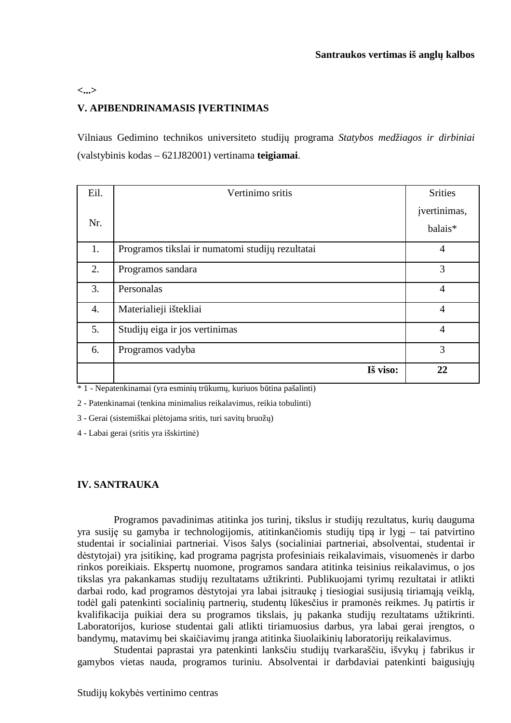#### **Santraukos vertimas iš anglų kalbos**

#### **<...>**

#### **V. APIBENDRINAMASIS ĮVERTINIMAS**

Vilniaus Gedimino technikos universiteto studijų programa *Statybos medžiagos ir dirbiniai* (valstybinis kodas – 621J82001) vertinama **teigiamai**.

| Eil. | Vertinimo sritis                                 | <b>Srities</b> |
|------|--------------------------------------------------|----------------|
| Nr.  |                                                  | įvertinimas,   |
|      |                                                  | balais*        |
| 1.   | Programos tikslai ir numatomi studijų rezultatai | $\overline{4}$ |
| 2.   | Programos sandara                                | 3              |
| 3.   | Personalas                                       | $\overline{4}$ |
| 4.   | Materialieji ištekliai                           | $\overline{4}$ |
| 5.   | Studijų eiga ir jos vertinimas                   | $\overline{4}$ |
| 6.   | Programos vadyba                                 | 3              |
|      | Iš viso:                                         | 22             |

\* 1 - Nepatenkinamai (yra esminių trūkumų, kuriuos būtina pašalinti)

2 - Patenkinamai (tenkina minimalius reikalavimus, reikia tobulinti)

3 - Gerai (sistemiškai plėtojama sritis, turi savitų bruožų)

4 - Labai gerai (sritis yra išskirtinė)

#### **IV. SANTRAUKA**

Programos pavadinimas atitinka jos turinį, tikslus ir studijų rezultatus, kurių dauguma yra susiję su gamyba ir technologijomis, atitinkančiomis studijų tipą ir lygį – tai patvirtino studentai ir socialiniai partneriai. Visos šalys (socialiniai partneriai, absolventai, studentai ir dėstytojai) yra įsitikinę, kad programa pagrįsta profesiniais reikalavimais, visuomenės ir darbo rinkos poreikiais. Ekspertų nuomone, programos sandara atitinka teisinius reikalavimus, o jos tikslas yra pakankamas studijų rezultatams užtikrinti. Publikuojami tyrimų rezultatai ir atlikti darbai rodo, kad programos dėstytojai yra labai įsitraukę į tiesiogiai susijusią tiriamąją veiklą, todėl gali patenkinti socialinių partnerių, studentų lūkesčius ir pramonės reikmes. Jų patirtis ir kvalifikacija puikiai dera su programos tikslais, jų pakanka studijų rezultatams užtikrinti. Laboratorijos, kuriose studentai gali atlikti tiriamuosius darbus, yra labai gerai įrengtos, o bandymų, matavimų bei skaičiavimų įranga atitinka šiuolaikinių laboratorijų reikalavimus.

Studentai paprastai yra patenkinti lanksčiu studijų tvarkaraščiu, išvykų į fabrikus ir gamybos vietas nauda, programos turiniu. Absolventai ir darbdaviai patenkinti baigusiųjų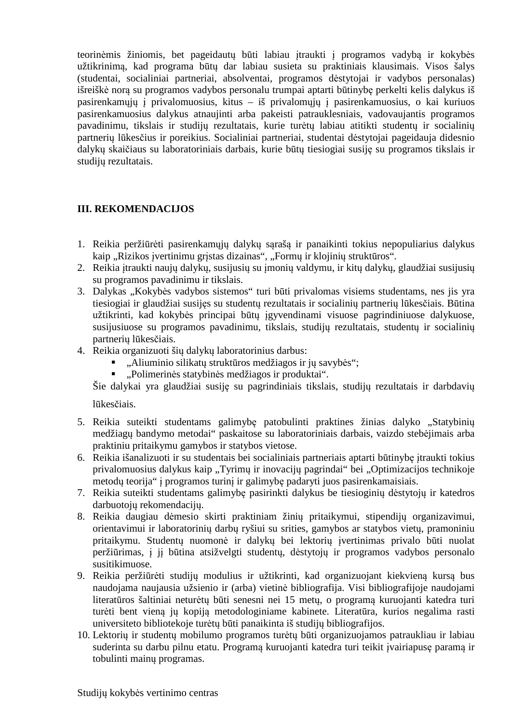teorinėmis žiniomis, bet pageidautų būti labiau įtraukti į programos vadybą ir kokybės užtikrinimą, kad programa būtų dar labiau susieta su praktiniais klausimais. Visos šalys (studentai, socialiniai partneriai, absolventai, programos dėstytojai ir vadybos personalas) išreiškė norą su programos vadybos personalu trumpai aptarti būtinybę perkelti kelis dalykus iš pasirenkamųjų į privalomuosius, kitus – iš privalomųjų į pasirenkamuosius, o kai kuriuos pasirenkamuosius dalykus atnaujinti arba pakeisti patrauklesniais, vadovaujantis programos pavadinimu, tikslais ir studijų rezultatais, kurie turėtų labiau atitikti studentų ir socialinių partnerių lūkesčius ir poreikius. Socialiniai partneriai, studentai dėstytojai pageidauja didesnio dalykų skaičiaus su laboratoriniais darbais, kurie būtų tiesiogiai susiję su programos tikslais ir studijų rezultatais.

#### **III. REKOMENDACIJOS**

- 1. Reikia peržiūrėti pasirenkamųjų dalykų sąrašą ir panaikinti tokius nepopuliarius dalykus kaip "Rizikos įvertinimu grįstas dizainas", "Formų ir klojinių struktūros".
- 2. Reikia įtraukti naujų dalykų, susijusių su įmonių valdymu, ir kitų dalykų, glaudžiai susijusių su programos pavadinimu ir tikslais.
- 3. Dalykas "Kokybės vadybos sistemos" turi būti privalomas visiems studentams, nes jis yra tiesiogiai ir glaudžiai susijęs su studentų rezultatais ir socialinių partnerių lūkesčiais. Būtina užtikrinti, kad kokybės principai būtų įgyvendinami visuose pagrindiniuose dalykuose, susijusiuose su programos pavadinimu, tikslais, studijų rezultatais, studentų ir socialinių partnerių lūkesčiais.
- 4. Reikia organizuoti šių dalykų laboratorinius darbus:
	- "Aliuminio silikatų struktūros medžiagos ir jų savybės.
	- "Polimerinės statybinės medžiagos ir produktai".

Šie dalykai yra glaudžiai susiję su pagrindiniais tikslais, studijų rezultatais ir darbdavių

lūkesčiais.

- 5. Reikia suteikti studentams galimybę patobulinti praktines žinias dalyko "Statybinių medžiagų bandymo metodai" paskaitose su laboratoriniais darbais, vaizdo stebėjimais arba praktiniu pritaikymu gamybos ir statybos vietose.
- 6. Reikia išanalizuoti ir su studentais bei socialiniais partneriais aptarti būtinybę įtraukti tokius privalomuosius dalykus kaip "Tyrimų ir inovacijų pagrindai" bei "Optimizacijos technikoje metodų teorija" į programos turinį ir galimybę padaryti juos pasirenkamaisiais.
- 7. Reikia suteikti studentams galimybę pasirinkti dalykus be tiesioginių dėstytojų ir katedros darbuotojų rekomendacijų.
- 8. Reikia daugiau dėmesio skirti praktiniam žinių pritaikymui, stipendijų organizavimui, orientavimui ir laboratorinių darbų ryšiui su srities, gamybos ar statybos vietų, pramoniniu pritaikymu. Studentų nuomonė ir dalykų bei lektorių įvertinimas privalo būti nuolat peržiūrimas, į jį būtina atsižvelgti studentų, dėstytojų ir programos vadybos personalo susitikimuose.
- 9. Reikia peržiūrėti studijų modulius ir užtikrinti, kad organizuojant kiekvieną kursą bus naudojama naujausia užsienio ir (arba) vietinė bibliografija. Visi bibliografijoje naudojami literatūros šaltiniai neturėtų būti senesni nei 15 metų, o programą kuruojanti katedra turi turėti bent vieną jų kopiją metodologiniame kabinete. Literatūra, kurios negalima rasti universiteto bibliotekoje turėtų būti panaikinta iš studijų bibliografijos.
- 10. Lektorių ir studentų mobilumo programos turėtų būti organizuojamos patraukliau ir labiau suderinta su darbu pilnu etatu. Programą kuruojanti katedra turi teikit įvairiapusę paramą ir tobulinti mainų programas.